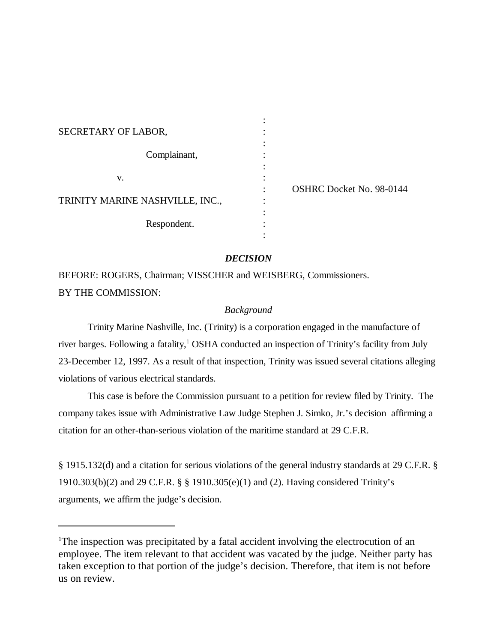| SECRETARY OF LABOR,             |                                 |
|---------------------------------|---------------------------------|
|                                 |                                 |
| Complainant,                    |                                 |
|                                 |                                 |
| V.                              |                                 |
|                                 | <b>OSHRC Docket No. 98-0144</b> |
| TRINITY MARINE NASHVILLE, INC., |                                 |
|                                 |                                 |
| Respondent.                     |                                 |
|                                 |                                 |

# *DECISION*

BEFORE: ROGERS, Chairman; VISSCHER and WEISBERG, Commissioners. BY THE COMMISSION:

## *Background*

Trinity Marine Nashville, Inc. (Trinity) is a corporation engaged in the manufacture of river barges. Following a fatality,<sup>1</sup> OSHA conducted an inspection of Trinity's facility from July 23-December 12, 1997. As a result of that inspection, Trinity was issued several citations alleging violations of various electrical standards.

This case is before the Commission pursuant to a petition for review filed by Trinity. The company takes issue with Administrative Law Judge Stephen J. Simko, Jr.'s decision affirming a citation for an other-than-serious violation of the maritime standard at 29 C.F.R.

§ 1915.132(d) and a citation for serious violations of the general industry standards at 29 C.F.R. § 1910.303(b)(2) and 29 C.F.R. § § 1910.305(e)(1) and (2). Having considered Trinity's arguments, we affirm the judge's decision.

<sup>&</sup>lt;sup>1</sup>The inspection was precipitated by a fatal accident involving the electrocution of an employee. The item relevant to that accident was vacated by the judge. Neither party has taken exception to that portion of the judge's decision. Therefore, that item is not before us on review.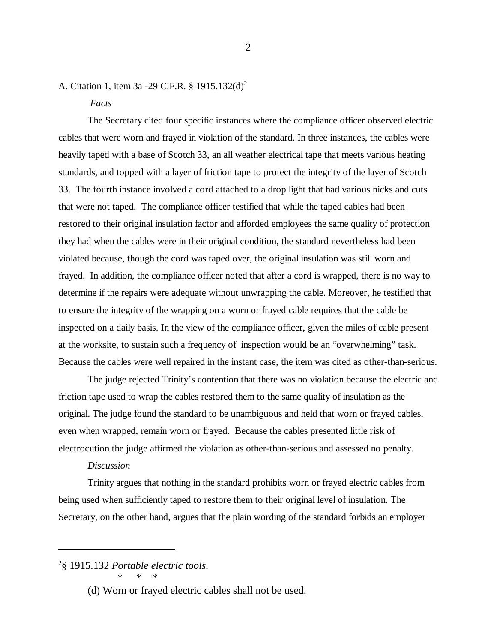# A. Citation 1, item 3a -29 C.F.R. § 1915.132(d)2

## *Facts*

The Secretary cited four specific instances where the compliance officer observed electric cables that were worn and frayed in violation of the standard. In three instances, the cables were heavily taped with a base of Scotch 33, an all weather electrical tape that meets various heating standards, and topped with a layer of friction tape to protect the integrity of the layer of Scotch 33. The fourth instance involved a cord attached to a drop light that had various nicks and cuts that were not taped. The compliance officer testified that while the taped cables had been restored to their original insulation factor and afforded employees the same quality of protection they had when the cables were in their original condition, the standard nevertheless had been violated because, though the cord was taped over, the original insulation was still worn and frayed. In addition, the compliance officer noted that after a cord is wrapped, there is no way to determine if the repairs were adequate without unwrapping the cable. Moreover, he testified that to ensure the integrity of the wrapping on a worn or frayed cable requires that the cable be inspected on a daily basis. In the view of the compliance officer, given the miles of cable present at the worksite, to sustain such a frequency of inspection would be an "overwhelming" task. Because the cables were well repaired in the instant case, the item was cited as other-than-serious.

The judge rejected Trinity's contention that there was no violation because the electric and friction tape used to wrap the cables restored them to the same quality of insulation as the original. The judge found the standard to be unambiguous and held that worn or frayed cables, even when wrapped, remain worn or frayed. Because the cables presented little risk of electrocution the judge affirmed the violation as other-than-serious and assessed no penalty.

#### *Discussion*

Trinity argues that nothing in the standard prohibits worn or frayed electric cables from being used when sufficiently taped to restore them to their original level of insulation. The Secretary, on the other hand, argues that the plain wording of the standard forbids an employer

<sup>2</sup> § 1915.132 *Portable electric tools. \* \* \**

<sup>(</sup>d) Worn or frayed electric cables shall not be used.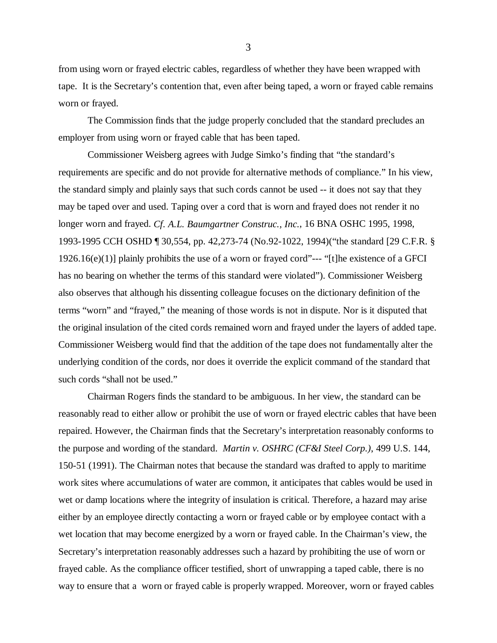from using worn or frayed electric cables, regardless of whether they have been wrapped with tape. It is the Secretary's contention that, even after being taped, a worn or frayed cable remains worn or frayed.

The Commission finds that the judge properly concluded that the standard precludes an employer from using worn or frayed cable that has been taped.

Commissioner Weisberg agrees with Judge Simko's finding that "the standard's requirements are specific and do not provide for alternative methods of compliance." In his view, the standard simply and plainly says that such cords cannot be used -- it does not say that they may be taped over and used. Taping over a cord that is worn and frayed does not render it no longer worn and frayed. *Cf. A.L. Baumgartner Construc., Inc.*, 16 BNA OSHC 1995, 1998, 1993-1995 CCH OSHD ¶ 30,554, pp. 42,273-74 (No.92-1022, 1994)("the standard [29 C.F.R. § 1926.16(e)(1)] plainly prohibits the use of a worn or frayed cord"--- "[t]he existence of a GFCI has no bearing on whether the terms of this standard were violated"). Commissioner Weisberg also observes that although his dissenting colleague focuses on the dictionary definition of the terms "worn" and "frayed," the meaning of those words is not in dispute. Nor is it disputed that the original insulation of the cited cords remained worn and frayed under the layers of added tape. Commissioner Weisberg would find that the addition of the tape does not fundamentally alter the underlying condition of the cords, nor does it override the explicit command of the standard that such cords "shall not be used."

Chairman Rogers finds the standard to be ambiguous. In her view, the standard can be reasonably read to either allow or prohibit the use of worn or frayed electric cables that have been repaired. However, the Chairman finds that the Secretary's interpretation reasonably conforms to the purpose and wording of the standard. *Martin v. OSHRC (CF&I Steel Corp.)*, 499 U.S. 144, 150-51 (1991). The Chairman notes that because the standard was drafted to apply to maritime work sites where accumulations of water are common, it anticipates that cables would be used in wet or damp locations where the integrity of insulation is critical. Therefore, a hazard may arise either by an employee directly contacting a worn or frayed cable or by employee contact with a wet location that may become energized by a worn or frayed cable. In the Chairman's view, the Secretary's interpretation reasonably addresses such a hazard by prohibiting the use of worn or frayed cable. As the compliance officer testified, short of unwrapping a taped cable, there is no way to ensure that a worn or frayed cable is properly wrapped. Moreover, worn or frayed cables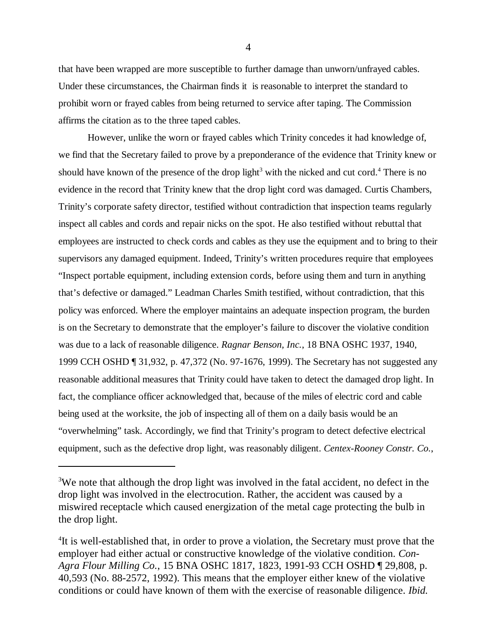that have been wrapped are more susceptible to further damage than unworn/unfrayed cables. Under these circumstances, the Chairman finds it is reasonable to interpret the standard to prohibit worn or frayed cables from being returned to service after taping. The Commission affirms the citation as to the three taped cables.

However, unlike the worn or frayed cables which Trinity concedes it had knowledge of, we find that the Secretary failed to prove by a preponderance of the evidence that Trinity knew or should have known of the presence of the drop light<sup>3</sup> with the nicked and cut cord.<sup>4</sup> There is no evidence in the record that Trinity knew that the drop light cord was damaged. Curtis Chambers, Trinity's corporate safety director, testified without contradiction that inspection teams regularly inspect all cables and cords and repair nicks on the spot. He also testified without rebuttal that employees are instructed to check cords and cables as they use the equipment and to bring to their supervisors any damaged equipment. Indeed, Trinity's written procedures require that employees "Inspect portable equipment, including extension cords, before using them and turn in anything that's defective or damaged." Leadman Charles Smith testified, without contradiction, that this policy was enforced. Where the employer maintains an adequate inspection program, the burden is on the Secretary to demonstrate that the employer's failure to discover the violative condition was due to a lack of reasonable diligence. *Ragnar Benson, Inc.*, 18 BNA OSHC 1937, 1940, 1999 CCH OSHD ¶ 31,932, p. 47,372 (No. 97-1676, 1999). The Secretary has not suggested any reasonable additional measures that Trinity could have taken to detect the damaged drop light. In fact, the compliance officer acknowledged that, because of the miles of electric cord and cable being used at the worksite, the job of inspecting all of them on a daily basis would be an "overwhelming" task. Accordingly, we find that Trinity's program to detect defective electrical equipment, such as the defective drop light, was reasonably diligent. *Centex-Rooney Constr. Co.*,

<sup>&</sup>lt;sup>3</sup>We note that although the drop light was involved in the fatal accident, no defect in the drop light was involved in the electrocution. Rather, the accident was caused by a miswired receptacle which caused energization of the metal cage protecting the bulb in the drop light.

<sup>&</sup>lt;sup>4</sup>It is well-established that, in order to prove a violation, the Secretary must prove that the employer had either actual or constructive knowledge of the violative condition. *Con-Agra Flour Milling Co.*, 15 BNA OSHC 1817, 1823, 1991-93 CCH OSHD ¶ 29,808, p. 40,593 (No. 88-2572, 1992). This means that the employer either knew of the violative conditions or could have known of them with the exercise of reasonable diligence. *Ibid.*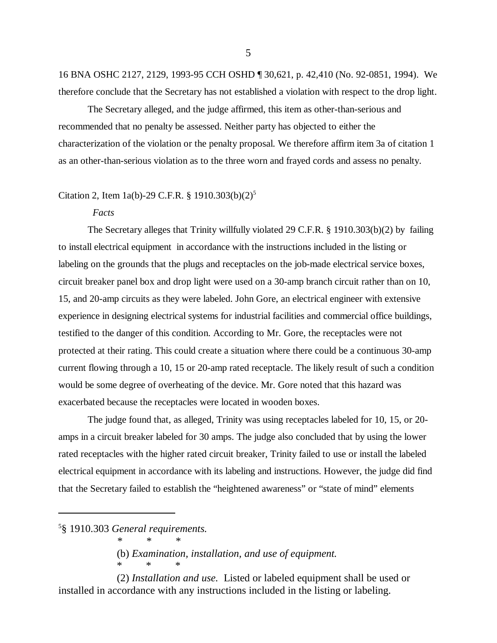16 BNA OSHC 2127, 2129, 1993-95 CCH OSHD ¶ 30,621, p. 42,410 (No. 92-0851, 1994). We therefore conclude that the Secretary has not established a violation with respect to the drop light.

The Secretary alleged, and the judge affirmed, this item as other-than-serious and recommended that no penalty be assessed. Neither party has objected to either the characterization of the violation or the penalty proposal. We therefore affirm item 3a of citation 1 as an other-than-serious violation as to the three worn and frayed cords and assess no penalty.

## Citation 2, Item 1a(b)-29 C.F.R. § 1910.303(b)(2)<sup>5</sup>

#### *Facts*

The Secretary alleges that Trinity willfully violated 29 C.F.R. § 1910.303(b)(2) by failing to install electrical equipment in accordance with the instructions included in the listing or labeling on the grounds that the plugs and receptacles on the job-made electrical service boxes, circuit breaker panel box and drop light were used on a 30-amp branch circuit rather than on 10, 15, and 20-amp circuits as they were labeled. John Gore, an electrical engineer with extensive experience in designing electrical systems for industrial facilities and commercial office buildings, testified to the danger of this condition. According to Mr. Gore, the receptacles were not protected at their rating. This could create a situation where there could be a continuous 30-amp current flowing through a 10, 15 or 20-amp rated receptacle. The likely result of such a condition would be some degree of overheating of the device. Mr. Gore noted that this hazard was exacerbated because the receptacles were located in wooden boxes.

The judge found that, as alleged, Trinity was using receptacles labeled for 10, 15, or 20 amps in a circuit breaker labeled for 30 amps. The judge also concluded that by using the lower rated receptacles with the higher rated circuit breaker, Trinity failed to use or install the labeled electrical equipment in accordance with its labeling and instructions. However, the judge did find that the Secretary failed to establish the "heightened awareness" or "state of mind" elements

*\*\*\**

\*\*\*

(b) *Examination, installation, and use of equipment.* 

(2) *Installation and use.* Listed or labeled equipment shall be used or installed in accordance with any instructions included in the listing or labeling.

<sup>5</sup> § 1910.303 *General requirements.*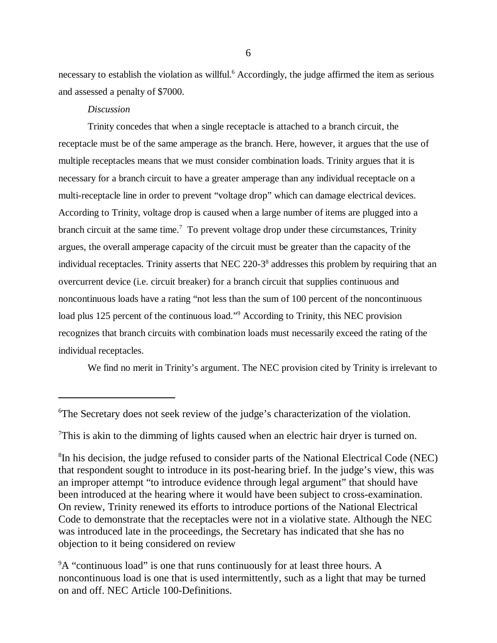necessary to establish the violation as willful.<sup>6</sup> Accordingly, the judge affirmed the item as serious and assessed a penalty of \$7000.

### *Discussion*

Trinity concedes that when a single receptacle is attached to a branch circuit, the receptacle must be of the same amperage as the branch. Here, however, it argues that the use of multiple receptacles means that we must consider combination loads. Trinity argues that it is necessary for a branch circuit to have a greater amperage than any individual receptacle on a multi-receptacle line in order to prevent "voltage drop" which can damage electrical devices. According to Trinity, voltage drop is caused when a large number of items are plugged into a branch circuit at the same time.<sup>7</sup> To prevent voltage drop under these circumstances, Trinity argues, the overall amperage capacity of the circuit must be greater than the capacity of the individual receptacles. Trinity asserts that NEC 220-3<sup>8</sup> addresses this problem by requiring that an overcurrent device (i.e. circuit breaker) for a branch circuit that supplies continuous and noncontinuous loads have a rating "not less than the sum of 100 percent of the noncontinuous load plus 125 percent of the continuous load."<sup>9</sup> According to Trinity, this NEC provision recognizes that branch circuits with combination loads must necessarily exceed the rating of the individual receptacles.

We find no merit in Trinity's argument. The NEC provision cited by Trinity is irrelevant to

<sup>7</sup>This is akin to the dimming of lights caused when an electric hair dryer is turned on.

<sup>6</sup> The Secretary does not seek review of the judge's characterization of the violation.

<sup>&</sup>lt;sup>8</sup>In his decision, the judge refused to consider parts of the National Electrical Code (NEC) that respondent sought to introduce in its post-hearing brief. In the judge's view, this was an improper attempt "to introduce evidence through legal argument" that should have been introduced at the hearing where it would have been subject to cross-examination. On review, Trinity renewed its efforts to introduce portions of the National Electrical Code to demonstrate that the receptacles were not in a violative state. Although the NEC was introduced late in the proceedings, the Secretary has indicated that she has no objection to it being considered on review

<sup>&</sup>lt;sup>9</sup>A "continuous load" is one that runs continuously for at least three hours. A noncontinuous load is one that is used intermittently, such as a light that may be turned on and off. NEC Article 100-Definitions.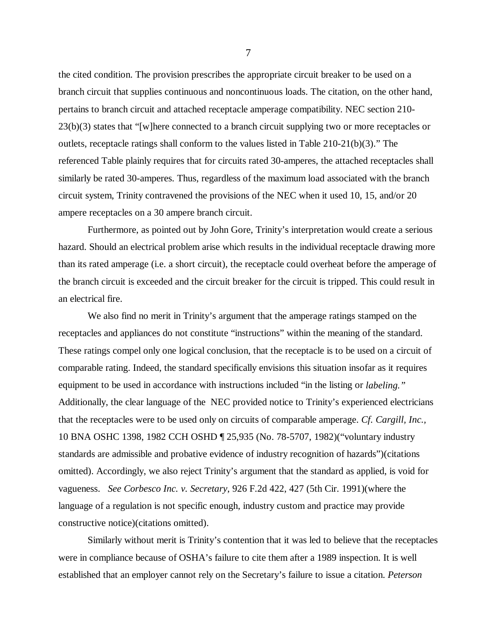the cited condition. The provision prescribes the appropriate circuit breaker to be used on a branch circuit that supplies continuous and noncontinuous loads. The citation, on the other hand, pertains to branch circuit and attached receptacle amperage compatibility. NEC section 210- 23(b)(3) states that "[w]here connected to a branch circuit supplying two or more receptacles or outlets, receptacle ratings shall conform to the values listed in Table 210-21(b)(3)." The referenced Table plainly requires that for circuits rated 30-amperes, the attached receptacles shall similarly be rated 30-amperes. Thus, regardless of the maximum load associated with the branch circuit system, Trinity contravened the provisions of the NEC when it used 10, 15, and/or 20 ampere receptacles on a 30 ampere branch circuit.

Furthermore, as pointed out by John Gore, Trinity's interpretation would create a serious hazard. Should an electrical problem arise which results in the individual receptacle drawing more than its rated amperage (i.e. a short circuit), the receptacle could overheat before the amperage of the branch circuit is exceeded and the circuit breaker for the circuit is tripped. This could result in an electrical fire.

We also find no merit in Trinity's argument that the amperage ratings stamped on the receptacles and appliances do not constitute "instructions" within the meaning of the standard. These ratings compel only one logical conclusion, that the receptacle is to be used on a circuit of comparable rating. Indeed, the standard specifically envisions this situation insofar as it requires equipment to be used in accordance with instructions included "in the listing or *labeling."* Additionally, the clear language of the NEC provided notice to Trinity's experienced electricians that the receptacles were to be used only on circuits of comparable amperage. *Cf. Cargill, Inc.,* 10 BNA OSHC 1398, 1982 CCH OSHD ¶ 25,935 (No. 78-5707, 1982)("voluntary industry standards are admissible and probative evidence of industry recognition of hazards")(citations omitted). Accordingly, we also reject Trinity's argument that the standard as applied, is void for vagueness. *See Corbesco Inc. v. Secretary*, 926 F.2d 422, 427 (5th Cir. 1991)(where the language of a regulation is not specific enough, industry custom and practice may provide constructive notice)(citations omitted).

Similarly without merit is Trinity's contention that it was led to believe that the receptacles were in compliance because of OSHA's failure to cite them after a 1989 inspection. It is well established that an employer cannot rely on the Secretary's failure to issue a citation. *Peterson*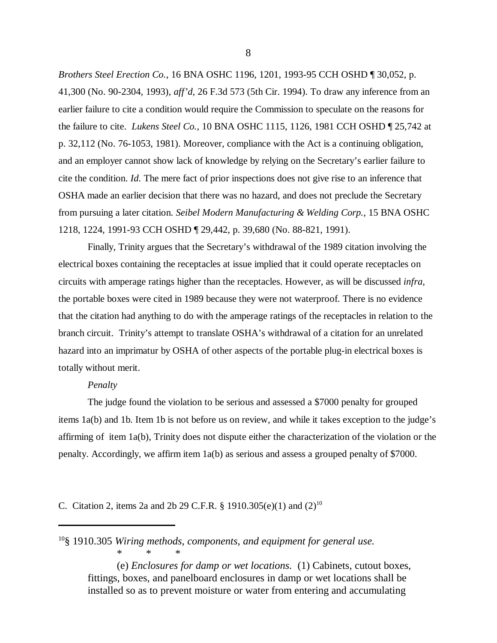*Brothers Steel Erection Co.*, 16 BNA OSHC 1196, 1201, 1993-95 CCH OSHD ¶ 30,052, p. 41,300 (No. 90-2304, 1993), *aff'd,* 26 F.3d 573 (5th Cir. 1994). To draw any inference from an earlier failure to cite a condition would require the Commission to speculate on the reasons for the failure to cite. *Lukens Steel Co.*, 10 BNA OSHC 1115, 1126, 1981 CCH OSHD ¶ 25,742 at p. 32,112 (No. 76-1053, 1981). Moreover, compliance with the Act is a continuing obligation, and an employer cannot show lack of knowledge by relying on the Secretary's earlier failure to cite the condition. *Id.* The mere fact of prior inspections does not give rise to an inference that OSHA made an earlier decision that there was no hazard, and does not preclude the Secretary from pursuing a later citation. *Seibel Modern Manufacturing & Welding Corp.*, 15 BNA OSHC 1218, 1224, 1991-93 CCH OSHD ¶ 29,442, p. 39,680 (No. 88-821, 1991).

Finally, Trinity argues that the Secretary's withdrawal of the 1989 citation involving the electrical boxes containing the receptacles at issue implied that it could operate receptacles on circuits with amperage ratings higher than the receptacles. However, as will be discussed *infra*, the portable boxes were cited in 1989 because they were not waterproof. There is no evidence that the citation had anything to do with the amperage ratings of the receptacles in relation to the branch circuit. Trinity's attempt to translate OSHA's withdrawal of a citation for an unrelated hazard into an imprimatur by OSHA of other aspects of the portable plug-in electrical boxes is totally without merit.

## *Penalty*

The judge found the violation to be serious and assessed a \$7000 penalty for grouped items 1a(b) and 1b. Item 1b is not before us on review, and while it takes exception to the judge's affirming of item 1a(b), Trinity does not dispute either the characterization of the violation or the penalty. Accordingly, we affirm item 1a(b) as serious and assess a grouped penalty of \$7000.

C. Citation 2, items 2a and 2b 29 C.F.R. § 1910.305(e)(1) and  $(2)^{10}$ 

10§ 1910.305 *Wiring methods, components, and equipment for general use.* \*\*\*

(e) *Enclosures for damp or wet locations.* (1) Cabinets, cutout boxes, fittings, boxes, and panelboard enclosures in damp or wet locations shall be installed so as to prevent moisture or water from entering and accumulating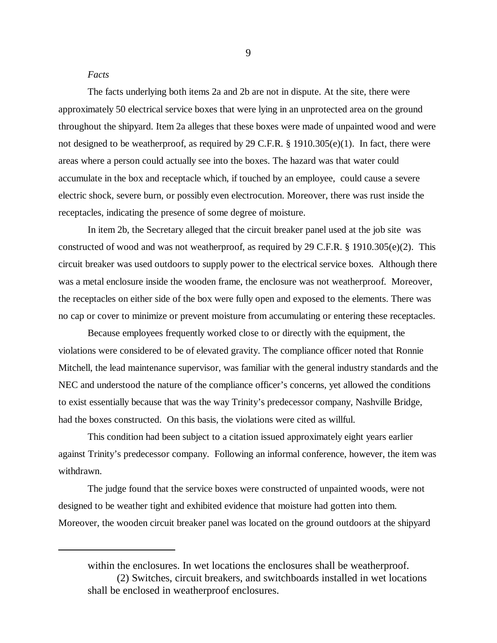#### *Facts*

The facts underlying both items 2a and 2b are not in dispute. At the site, there were approximately 50 electrical service boxes that were lying in an unprotected area on the ground throughout the shipyard. Item 2a alleges that these boxes were made of unpainted wood and were not designed to be weatherproof, as required by 29 C.F.R. § 1910.305(e)(1). In fact, there were areas where a person could actually see into the boxes. The hazard was that water could accumulate in the box and receptacle which, if touched by an employee, could cause a severe electric shock, severe burn, or possibly even electrocution. Moreover, there was rust inside the receptacles, indicating the presence of some degree of moisture.

In item 2b, the Secretary alleged that the circuit breaker panel used at the job site was constructed of wood and was not weatherproof, as required by 29 C.F.R. § 1910.305(e)(2). This circuit breaker was used outdoors to supply power to the electrical service boxes. Although there was a metal enclosure inside the wooden frame, the enclosure was not weatherproof. Moreover, the receptacles on either side of the box were fully open and exposed to the elements. There was no cap or cover to minimize or prevent moisture from accumulating or entering these receptacles.

Because employees frequently worked close to or directly with the equipment, the violations were considered to be of elevated gravity. The compliance officer noted that Ronnie Mitchell, the lead maintenance supervisor, was familiar with the general industry standards and the NEC and understood the nature of the compliance officer's concerns, yet allowed the conditions to exist essentially because that was the way Trinity's predecessor company, Nashville Bridge, had the boxes constructed. On this basis, the violations were cited as willful.

This condition had been subject to a citation issued approximately eight years earlier against Trinity's predecessor company. Following an informal conference, however, the item was withdrawn.

The judge found that the service boxes were constructed of unpainted woods, were not designed to be weather tight and exhibited evidence that moisture had gotten into them. Moreover, the wooden circuit breaker panel was located on the ground outdoors at the shipyard

within the enclosures. In wet locations the enclosures shall be weatherproof. (2) Switches, circuit breakers, and switchboards installed in wet locations shall be enclosed in weatherproof enclosures.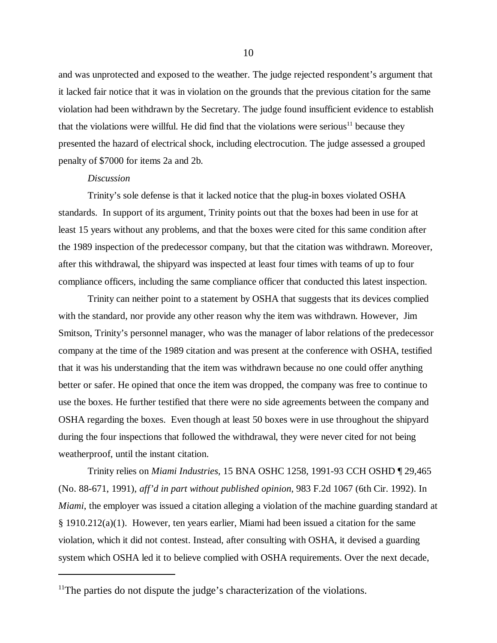and was unprotected and exposed to the weather. The judge rejected respondent's argument that it lacked fair notice that it was in violation on the grounds that the previous citation for the same violation had been withdrawn by the Secretary. The judge found insufficient evidence to establish that the violations were willful. He did find that the violations were serious<sup>11</sup> because they presented the hazard of electrical shock, including electrocution. The judge assessed a grouped penalty of \$7000 for items 2a and 2b.

#### *Discussion*

Trinity's sole defense is that it lacked notice that the plug-in boxes violated OSHA standards. In support of its argument, Trinity points out that the boxes had been in use for at least 15 years without any problems, and that the boxes were cited for this same condition after the 1989 inspection of the predecessor company, but that the citation was withdrawn. Moreover, after this withdrawal, the shipyard was inspected at least four times with teams of up to four compliance officers, including the same compliance officer that conducted this latest inspection.

Trinity can neither point to a statement by OSHA that suggests that its devices complied with the standard, nor provide any other reason why the item was withdrawn. However, Jim Smitson, Trinity's personnel manager, who was the manager of labor relations of the predecessor company at the time of the 1989 citation and was present at the conference with OSHA, testified that it was his understanding that the item was withdrawn because no one could offer anything better or safer. He opined that once the item was dropped, the company was free to continue to use the boxes. He further testified that there were no side agreements between the company and OSHA regarding the boxes. Even though at least 50 boxes were in use throughout the shipyard during the four inspections that followed the withdrawal, they were never cited for not being weatherproof, until the instant citation.

Trinity relies on *Miami Industries,* 15 BNA OSHC 1258, 1991-93 CCH OSHD ¶ 29,465 (No. 88-671, 1991), *aff'd in part without published opinion,* 983 F.2d 1067 (6th Cir. 1992). In *Miami*, the employer was issued a citation alleging a violation of the machine guarding standard at § 1910.212(a)(1). However, ten years earlier, Miami had been issued a citation for the same violation, which it did not contest. Instead, after consulting with OSHA, it devised a guarding system which OSHA led it to believe complied with OSHA requirements. Over the next decade,

<sup>&</sup>lt;sup>11</sup>The parties do not dispute the judge's characterization of the violations.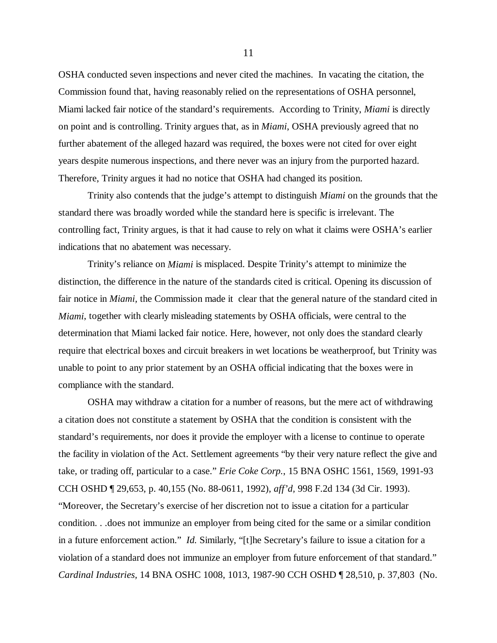OSHA conducted seven inspections and never cited the machines. In vacating the citation, the Commission found that, having reasonably relied on the representations of OSHA personnel, Miami lacked fair notice of the standard's requirements. According to Trinity, *Miami* is directly on point and is controlling. Trinity argues that, as in *Miami*, OSHA previously agreed that no further abatement of the alleged hazard was required, the boxes were not cited for over eight years despite numerous inspections, and there never was an injury from the purported hazard. Therefore, Trinity argues it had no notice that OSHA had changed its position.

Trinity also contends that the judge's attempt to distinguish *Miami* on the grounds that the standard there was broadly worded while the standard here is specific is irrelevant. The controlling fact, Trinity argues, is that it had cause to rely on what it claims were OSHA's earlier indications that no abatement was necessary.

Trinity's reliance on *Miami* is misplaced. Despite Trinity's attempt to minimize the distinction, the difference in the nature of the standards cited is critical. Opening its discussion of fair notice in *Miami*, the Commission made it clear that the general nature of the standard cited in *Miami*, together with clearly misleading statements by OSHA officials, were central to the determination that Miami lacked fair notice. Here, however, not only does the standard clearly require that electrical boxes and circuit breakers in wet locations be weatherproof, but Trinity was unable to point to any prior statement by an OSHA official indicating that the boxes were in compliance with the standard.

OSHA may withdraw a citation for a number of reasons, but the mere act of withdrawing a citation does not constitute a statement by OSHA that the condition is consistent with the standard's requirements, nor does it provide the employer with a license to continue to operate the facility in violation of the Act. Settlement agreements "by their very nature reflect the give and take, or trading off, particular to a case." *Erie Coke Corp.*, 15 BNA OSHC 1561, 1569, 1991-93 CCH OSHD ¶ 29,653, p. 40,155 (No. 88-0611, 1992), *aff'd,* 998 F.2d 134 (3d Cir. 1993). "Moreover, the Secretary's exercise of her discretion not to issue a citation for a particular condition. . .does not immunize an employer from being cited for the same or a similar condition in a future enforcement action." *Id.* Similarly, "[t]he Secretary's failure to issue a citation for a violation of a standard does not immunize an employer from future enforcement of that standard." *Cardinal Industries,* 14 BNA OSHC 1008, 1013, 1987-90 CCH OSHD ¶ 28,510, p. 37,803 (No.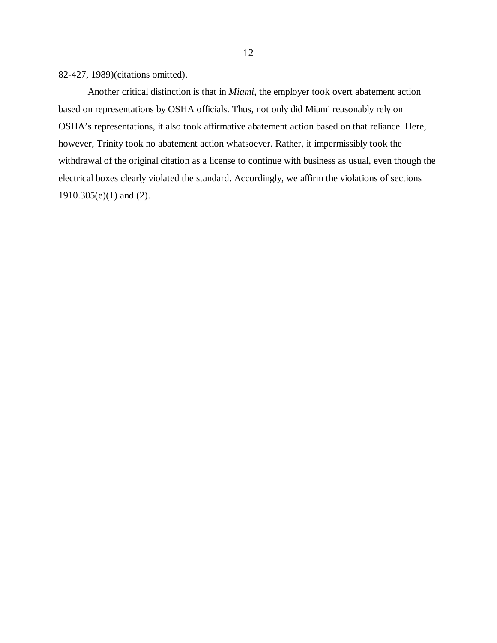82-427, 1989)(citations omitted).

Another critical distinction is that in *Miami*, the employer took overt abatement action based on representations by OSHA officials. Thus, not only did Miami reasonably rely on OSHA's representations, it also took affirmative abatement action based on that reliance. Here, however, Trinity took no abatement action whatsoever. Rather, it impermissibly took the withdrawal of the original citation as a license to continue with business as usual, even though the electrical boxes clearly violated the standard. Accordingly, we affirm the violations of sections 1910.305(e)(1) and (2).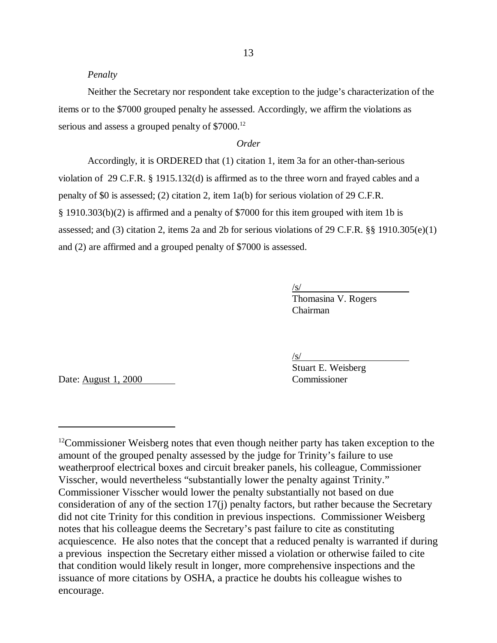#### *Penalty*

Neither the Secretary nor respondent take exception to the judge's characterization of the items or to the \$7000 grouped penalty he assessed. Accordingly, we affirm the violations as serious and assess a grouped penalty of \$7000.<sup>12</sup>

### *Order*

Accordingly, it is ORDERED that (1) citation 1, item 3a for an other-than-serious violation of 29 C.F.R. § 1915.132(d) is affirmed as to the three worn and frayed cables and a penalty of \$0 is assessed; (2) citation 2, item 1a(b) for serious violation of 29 C.F.R. § 1910.303(b)(2) is affirmed and a penalty of \$7000 for this item grouped with item 1b is assessed; and (3) citation 2, items 2a and 2b for serious violations of 29 C.F.R. §§ 1910.305(e)(1) and (2) are affirmed and a grouped penalty of \$7000 is assessed.

 $\sqrt{s/}$ 

Thomasina V. Rogers Chairman

/s/

Stuart E. Weisberg

Date: August 1, 2000 Commissioner

<sup>&</sup>lt;sup>12</sup>Commissioner Weisberg notes that even though neither party has taken exception to the amount of the grouped penalty assessed by the judge for Trinity's failure to use weatherproof electrical boxes and circuit breaker panels, his colleague, Commissioner Visscher, would nevertheless "substantially lower the penalty against Trinity." Commissioner Visscher would lower the penalty substantially not based on due consideration of any of the section 17(j) penalty factors, but rather because the Secretary did not cite Trinity for this condition in previous inspections. Commissioner Weisberg notes that his colleague deems the Secretary's past failure to cite as constituting acquiescence. He also notes that the concept that a reduced penalty is warranted if during a previous inspection the Secretary either missed a violation or otherwise failed to cite that condition would likely result in longer, more comprehensive inspections and the issuance of more citations by OSHA, a practice he doubts his colleague wishes to encourage.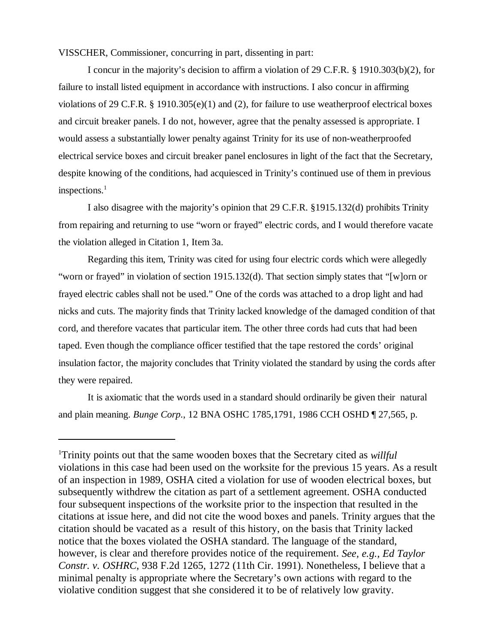VISSCHER, Commissioner, concurring in part, dissenting in part:

I concur in the majority's decision to affirm a violation of 29 C.F.R. § 1910.303(b)(2), for failure to install listed equipment in accordance with instructions. I also concur in affirming violations of 29 C.F.R. § 1910.305(e)(1) and (2), for failure to use weatherproof electrical boxes and circuit breaker panels. I do not, however, agree that the penalty assessed is appropriate. I would assess a substantially lower penalty against Trinity for its use of non-weatherproofed electrical service boxes and circuit breaker panel enclosures in light of the fact that the Secretary, despite knowing of the conditions, had acquiesced in Trinity's continued use of them in previous inspections.<sup>1</sup>

I also disagree with the majority's opinion that 29 C.F.R. §1915.132(d) prohibits Trinity from repairing and returning to use "worn or frayed" electric cords, and I would therefore vacate the violation alleged in Citation 1, Item 3a.

Regarding this item, Trinity was cited for using four electric cords which were allegedly "worn or frayed" in violation of section 1915.132(d). That section simply states that "[w]orn or frayed electric cables shall not be used." One of the cords was attached to a drop light and had nicks and cuts. The majority finds that Trinity lacked knowledge of the damaged condition of that cord, and therefore vacates that particular item. The other three cords had cuts that had been taped. Even though the compliance officer testified that the tape restored the cords' original insulation factor, the majority concludes that Trinity violated the standard by using the cords after they were repaired.

It is axiomatic that the words used in a standard should ordinarily be given their natural and plain meaning. *Bunge Corp*., 12 BNA OSHC 1785,1791, 1986 CCH OSHD ¶ 27,565, p.

<sup>1</sup> Trinity points out that the same wooden boxes that the Secretary cited as *willful* violations in this case had been used on the worksite for the previous 15 years. As a result of an inspection in 1989, OSHA cited a violation for use of wooden electrical boxes, but subsequently withdrew the citation as part of a settlement agreement. OSHA conducted four subsequent inspections of the worksite prior to the inspection that resulted in the citations at issue here, and did not cite the wood boxes and panels. Trinity argues that the citation should be vacated as a result of this history, on the basis that Trinity lacked notice that the boxes violated the OSHA standard. The language of the standard, however, is clear and therefore provides notice of the requirement. *See, e.g., Ed Taylor Constr. v. OSHRC*, 938 F.2d 1265, 1272 (11th Cir. 1991). Nonetheless, I believe that a minimal penalty is appropriate where the Secretary's own actions with regard to the violative condition suggest that she considered it to be of relatively low gravity.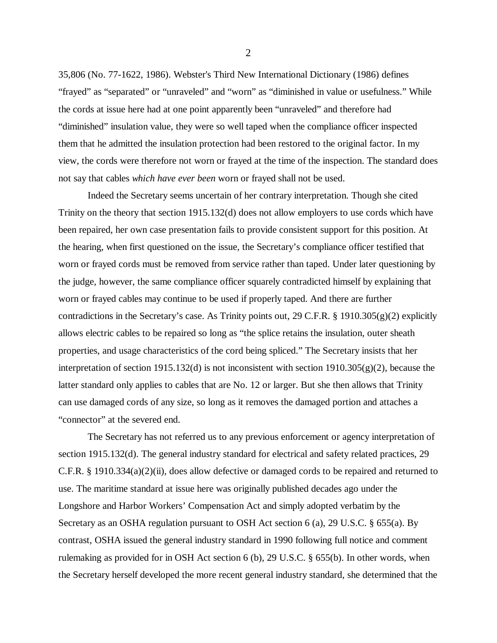35,806 (No. 77-1622, 1986). Webster's Third New International Dictionary (1986) defines "frayed" as "separated" or "unraveled" and "worn" as "diminished in value or usefulness." While the cords at issue here had at one point apparently been "unraveled" and therefore had "diminished" insulation value, they were so well taped when the compliance officer inspected them that he admitted the insulation protection had been restored to the original factor. In my view, the cords were therefore not worn or frayed at the time of the inspection. The standard does not say that cables *which have ever been* worn or frayed shall not be used.

Indeed the Secretary seems uncertain of her contrary interpretation. Though she cited Trinity on the theory that section 1915.132(d) does not allow employers to use cords which have been repaired, her own case presentation fails to provide consistent support for this position. At the hearing, when first questioned on the issue, the Secretary's compliance officer testified that worn or frayed cords must be removed from service rather than taped. Under later questioning by the judge, however, the same compliance officer squarely contradicted himself by explaining that worn or frayed cables may continue to be used if properly taped. And there are further contradictions in the Secretary's case. As Trinity points out, 29 C.F.R. § 1910.305(g)(2) explicitly allows electric cables to be repaired so long as "the splice retains the insulation, outer sheath properties, and usage characteristics of the cord being spliced." The Secretary insists that her interpretation of section 1915.132(d) is not inconsistent with section 1910.305(g)(2), because the latter standard only applies to cables that are No. 12 or larger. But she then allows that Trinity can use damaged cords of any size, so long as it removes the damaged portion and attaches a "connector" at the severed end.

The Secretary has not referred us to any previous enforcement or agency interpretation of section 1915.132(d). The general industry standard for electrical and safety related practices, 29 C.F.R. § 1910.334(a)(2)(ii), does allow defective or damaged cords to be repaired and returned to use. The maritime standard at issue here was originally published decades ago under the Longshore and Harbor Workers' Compensation Act and simply adopted verbatim by the Secretary as an OSHA regulation pursuant to OSH Act section 6 (a), 29 U.S.C. § 655(a). By contrast, OSHA issued the general industry standard in 1990 following full notice and comment rulemaking as provided for in OSH Act section 6 (b), 29 U.S.C. § 655(b). In other words, when the Secretary herself developed the more recent general industry standard, she determined that the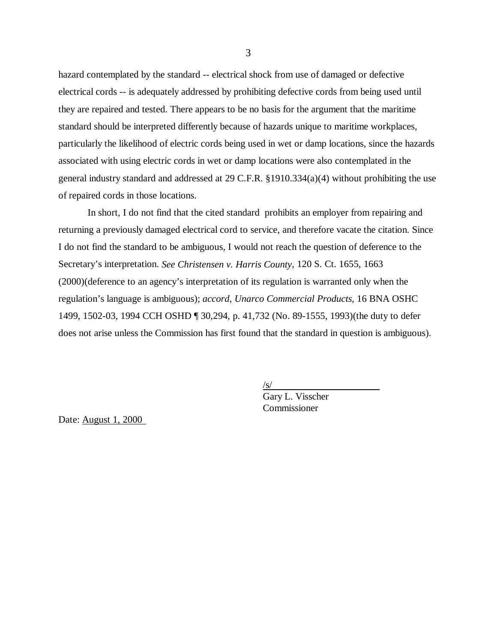hazard contemplated by the standard -- electrical shock from use of damaged or defective electrical cords -- is adequately addressed by prohibiting defective cords from being used until they are repaired and tested. There appears to be no basis for the argument that the maritime standard should be interpreted differently because of hazards unique to maritime workplaces, particularly the likelihood of electric cords being used in wet or damp locations, since the hazards associated with using electric cords in wet or damp locations were also contemplated in the general industry standard and addressed at 29 C.F.R. §1910.334(a)(4) without prohibiting the use of repaired cords in those locations.

In short, I do not find that the cited standard prohibits an employer from repairing and returning a previously damaged electrical cord to service, and therefore vacate the citation. Since I do not find the standard to be ambiguous, I would not reach the question of deference to the Secretary's interpretation. *See Christensen v. Harris County*, 120 S. Ct. 1655, 1663 (2000)(deference to an agency's interpretation of its regulation is warranted only when the regulation's language is ambiguous); *accord, Unarco Commercial Products*, 16 BNA OSHC 1499, 1502-03, 1994 CCH OSHD ¶ 30,294, p. 41,732 (No. 89-1555, 1993)(the duty to defer does not arise unless the Commission has first found that the standard in question is ambiguous).

> $\sqrt{s/}$ Gary L. Visscher

Commissioner

Date: August 1, 2000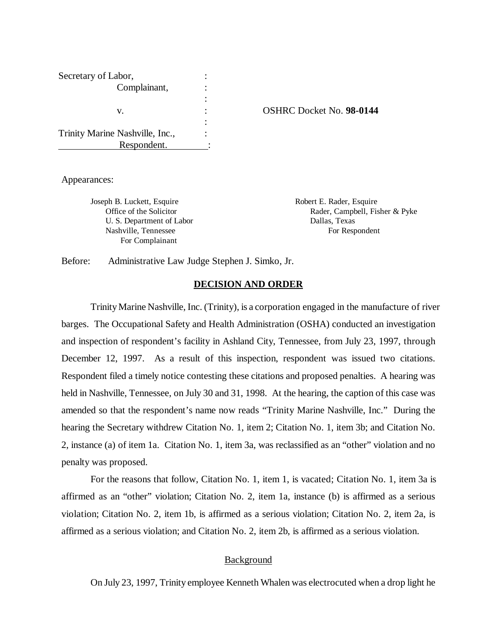| Secretary of Labor,             |  |
|---------------------------------|--|
| Complainant,                    |  |
|                                 |  |
| v.                              |  |
|                                 |  |
| Trinity Marine Nashville, Inc., |  |
| Respondent.                     |  |

v. : OSHRC Docket No. **98-0144**

Appearances:

Joseph B. Luckett, Esquire Robert E. Rader, Esquire U. S. Department of Labor Dallas, Texas Nashville, Tennessee For Respondent For Complainant

Office of the Solicitor **Rader, Campbell, Fisher & Pyke** Rader, Campbell, Fisher & Pyke

Before: Administrative Law Judge Stephen J. Simko, Jr.

### **DECISION AND ORDER**

 Trinity Marine Nashville, Inc. (Trinity), is a corporation engaged in the manufacture of river barges. The Occupational Safety and Health Administration (OSHA) conducted an investigation and inspection of respondent's facility in Ashland City, Tennessee, from July 23, 1997, through December 12, 1997. As a result of this inspection, respondent was issued two citations. Respondent filed a timely notice contesting these citations and proposed penalties. A hearing was held in Nashville, Tennessee, on July 30 and 31, 1998. At the hearing, the caption of this case was amended so that the respondent's name now reads "Trinity Marine Nashville, Inc." During the hearing the Secretary withdrew Citation No. 1, item 2; Citation No. 1, item 3b; and Citation No. 2, instance (a) of item 1a. Citation No. 1, item 3a, was reclassified as an "other" violation and no penalty was proposed.

For the reasons that follow, Citation No. 1, item 1, is vacated; Citation No. 1, item 3a is affirmed as an "other" violation; Citation No. 2, item 1a, instance (b) is affirmed as a serious violation; Citation No. 2, item 1b, is affirmed as a serious violation; Citation No. 2, item 2a, is affirmed as a serious violation; and Citation No. 2, item 2b, is affirmed as a serious violation.

### **Background**

On July 23, 1997, Trinity employee Kenneth Whalen was electrocuted when a drop light he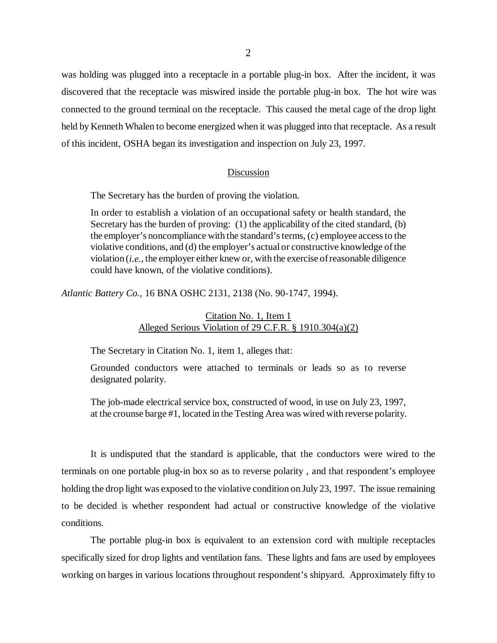was holding was plugged into a receptacle in a portable plug-in box. After the incident, it was discovered that the receptacle was miswired inside the portable plug-in box. The hot wire was connected to the ground terminal on the receptacle. This caused the metal cage of the drop light held by Kenneth Whalen to become energized when it was plugged into that receptacle. As a result of this incident, OSHA began its investigation and inspection on July 23, 1997.

#### Discussion

The Secretary has the burden of proving the violation.

In order to establish a violation of an occupational safety or health standard, the Secretary has the burden of proving: (1) the applicability of the cited standard, (b) the employer's noncompliance with the standard's terms, (c) employee access to the violative conditions, and (d) the employer's actual or constructive knowledge of the violation (*i.e.*, the employer either knew or, with the exercise of reasonable diligence could have known, of the violative conditions).

*Atlantic Battery Co.*, 16 BNA OSHC 2131, 2138 (No. 90-1747, 1994).

# Citation No. 1, Item 1 Alleged Serious Violation of 29 C.F.R. § 1910.304(a)(2)

The Secretary in Citation No. 1, item 1, alleges that:

Grounded conductors were attached to terminals or leads so as to reverse designated polarity.

The job-made electrical service box, constructed of wood, in use on July 23, 1997, at the crounse barge #1, located in the Testing Area was wired with reverse polarity.

It is undisputed that the standard is applicable, that the conductors were wired to the terminals on one portable plug-in box so as to reverse polarity , and that respondent's employee holding the drop light was exposed to the violative condition on July 23, 1997. The issue remaining to be decided is whether respondent had actual or constructive knowledge of the violative conditions.

The portable plug-in box is equivalent to an extension cord with multiple receptacles specifically sized for drop lights and ventilation fans. These lights and fans are used by employees working on barges in various locations throughout respondent's shipyard. Approximately fifty to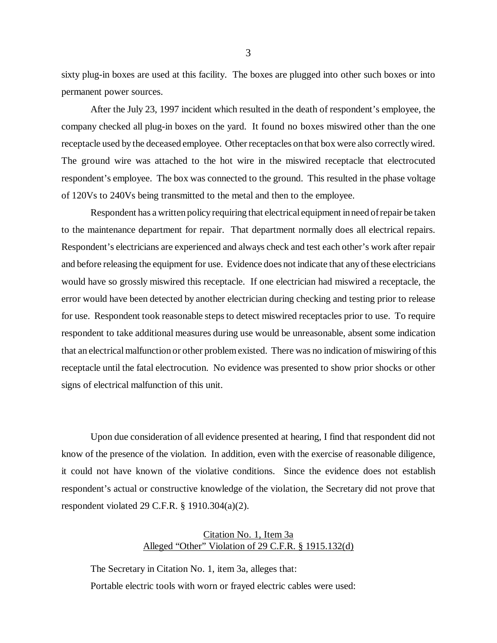sixty plug-in boxes are used at this facility. The boxes are plugged into other such boxes or into permanent power sources.

After the July 23, 1997 incident which resulted in the death of respondent's employee, the company checked all plug-in boxes on the yard. It found no boxes miswired other than the one receptacle used by the deceased employee. Other receptacles on that box were also correctly wired. The ground wire was attached to the hot wire in the miswired receptacle that electrocuted respondent's employee. The box was connected to the ground. This resulted in the phase voltage of 120Vs to 240Vs being transmitted to the metal and then to the employee.

Respondent has a written policy requiring that electrical equipment in need of repair be taken to the maintenance department for repair. That department normally does all electrical repairs. Respondent's electricians are experienced and always check and test each other's work after repair and before releasing the equipment for use. Evidence does not indicate that any of these electricians would have so grossly miswired this receptacle. If one electrician had miswired a receptacle, the error would have been detected by another electrician during checking and testing prior to release for use. Respondent took reasonable steps to detect miswired receptacles prior to use. To require respondent to take additional measures during use would be unreasonable, absent some indication that an electrical malfunction or other problem existed. There was no indication of miswiring of this receptacle until the fatal electrocution. No evidence was presented to show prior shocks or other signs of electrical malfunction of this unit.

Upon due consideration of all evidence presented at hearing, I find that respondent did not know of the presence of the violation. In addition, even with the exercise of reasonable diligence, it could not have known of the violative conditions. Since the evidence does not establish respondent's actual or constructive knowledge of the violation, the Secretary did not prove that respondent violated 29 C.F.R. § 1910.304(a)(2).

# Citation No. 1, Item 3a Alleged "Other" Violation of 29 C.F.R. § 1915.132(d)

The Secretary in Citation No. 1, item 3a, alleges that: Portable electric tools with worn or frayed electric cables were used: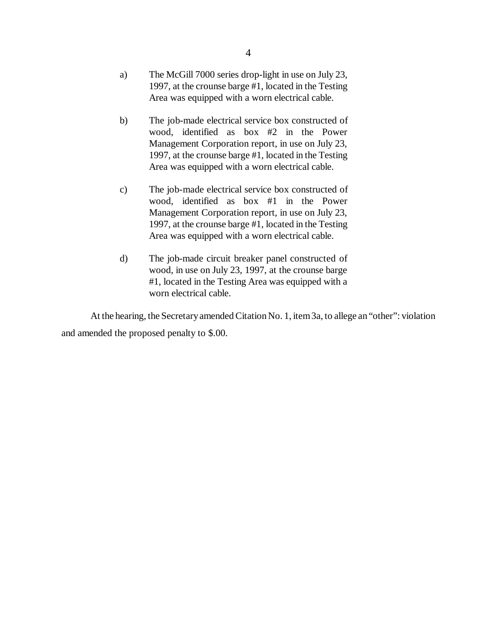- a) The McGill 7000 series drop-light in use on July 23, 1997, at the crounse barge #1, located in the Testing Area was equipped with a worn electrical cable.
- b) The job-made electrical service box constructed of wood, identified as box #2 in the Power Management Corporation report, in use on July 23, 1997, at the crounse barge #1, located in the Testing Area was equipped with a worn electrical cable.
- c) The job-made electrical service box constructed of wood, identified as box #1 in the Power Management Corporation report, in use on July 23, 1997, at the crounse barge #1, located in the Testing Area was equipped with a worn electrical cable.
- d) The job-made circuit breaker panel constructed of wood, in use on July 23, 1997, at the crounse barge #1, located in the Testing Area was equipped with a worn electrical cable.

At the hearing, the Secretary amended Citation No. 1, item 3a, to allege an "other": violation and amended the proposed penalty to \$.00.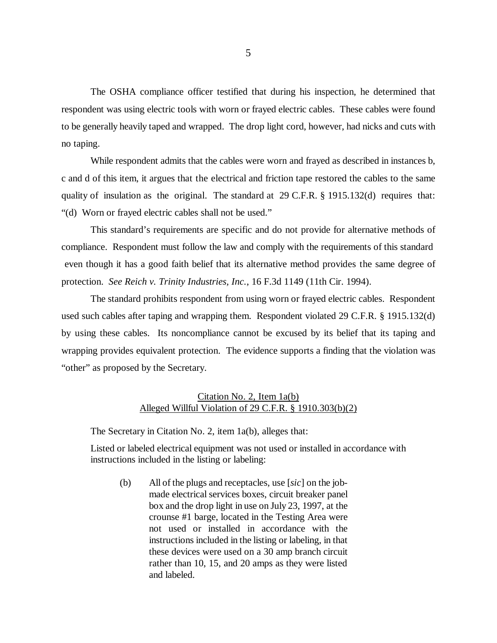The OSHA compliance officer testified that during his inspection, he determined that respondent was using electric tools with worn or frayed electric cables. These cables were found to be generally heavily taped and wrapped. The drop light cord, however, had nicks and cuts with no taping.

While respondent admits that the cables were worn and frayed as described in instances b, c and d of this item, it argues that the electrical and friction tape restored the cables to the same quality of insulation as the original. The standard at 29 C.F.R. § 1915.132(d) requires that: "(d) Worn or frayed electric cables shall not be used."

This standard's requirements are specific and do not provide for alternative methods of compliance. Respondent must follow the law and comply with the requirements of this standard even though it has a good faith belief that its alternative method provides the same degree of protection. *See Reich v. Trinity Industries, Inc.*, 16 F.3d 1149 (11th Cir. 1994).

The standard prohibits respondent from using worn or frayed electric cables. Respondent used such cables after taping and wrapping them. Respondent violated 29 C.F.R. § 1915.132(d) by using these cables. Its noncompliance cannot be excused by its belief that its taping and wrapping provides equivalent protection. The evidence supports a finding that the violation was "other" as proposed by the Secretary.

## Citation No. 2, Item 1a(b) Alleged Willful Violation of 29 C.F.R. § 1910.303(b)(2)

The Secretary in Citation No. 2, item 1a(b), alleges that:

Listed or labeled electrical equipment was not used or installed in accordance with instructions included in the listing or labeling:

(b) All of the plugs and receptacles, use [*sic*] on the jobmade electrical services boxes, circuit breaker panel box and the drop light in use on July 23, 1997, at the crounse #1 barge, located in the Testing Area were not used or installed in accordance with the instructions included in the listing or labeling, in that these devices were used on a 30 amp branch circuit rather than 10, 15, and 20 amps as they were listed and labeled.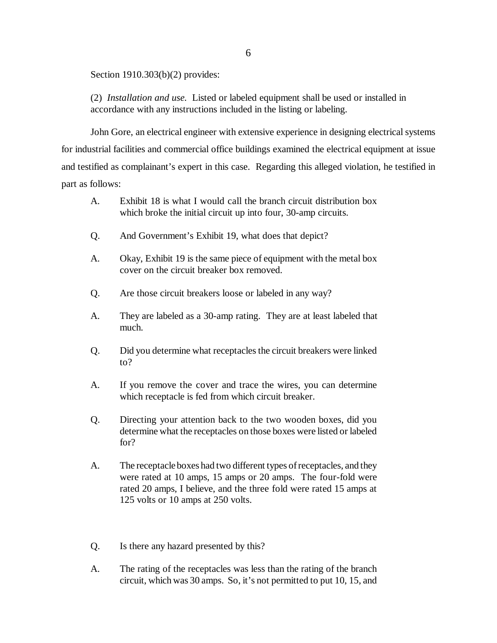Section 1910.303(b)(2) provides:

(2) *Installation and use.* Listed or labeled equipment shall be used or installed in accordance with any instructions included in the listing or labeling.

John Gore, an electrical engineer with extensive experience in designing electrical systems for industrial facilities and commercial office buildings examined the electrical equipment at issue and testified as complainant's expert in this case. Regarding this alleged violation, he testified in part as follows:

- A. Exhibit 18 is what I would call the branch circuit distribution box which broke the initial circuit up into four, 30-amp circuits.
- Q. And Government's Exhibit 19, what does that depict?
- A. Okay, Exhibit 19 is the same piece of equipment with the metal box cover on the circuit breaker box removed.
- Q. Are those circuit breakers loose or labeled in any way?
- A. They are labeled as a 30-amp rating. They are at least labeled that much.
- Q. Did you determine what receptacles the circuit breakers were linked to?
- A. If you remove the cover and trace the wires, you can determine which receptacle is fed from which circuit breaker.
- Q. Directing your attention back to the two wooden boxes, did you determine what the receptacles on those boxes were listed or labeled for?
- A. The receptacle boxes had two different types of receptacles, and they were rated at 10 amps, 15 amps or 20 amps. The four-fold were rated 20 amps, I believe, and the three fold were rated 15 amps at 125 volts or 10 amps at 250 volts.
- Q. Is there any hazard presented by this?
- A. The rating of the receptacles was less than the rating of the branch circuit, which was 30 amps. So, it's not permitted to put 10, 15, and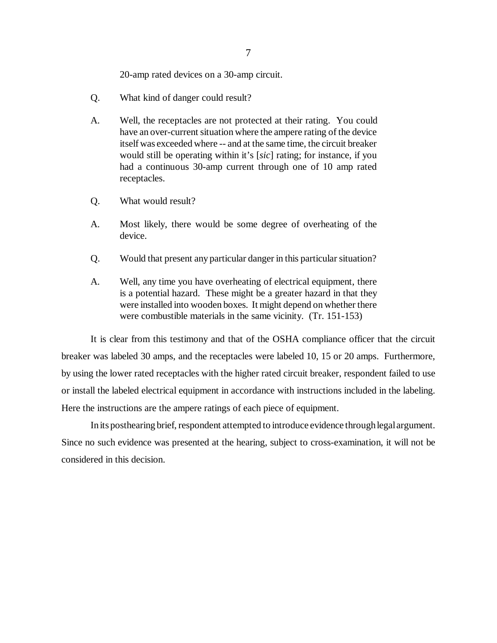20-amp rated devices on a 30-amp circuit.

- Q. What kind of danger could result?
- A. Well, the receptacles are not protected at their rating. You could have an over-current situation where the ampere rating of the device itself was exceeded where -- and at the same time, the circuit breaker would still be operating within it's [*sic*] rating; for instance, if you had a continuous 30-amp current through one of 10 amp rated receptacles.
- Q. What would result?
- A. Most likely, there would be some degree of overheating of the device.
- Q. Would that present any particular danger in this particular situation?
- A. Well, any time you have overheating of electrical equipment, there is a potential hazard. These might be a greater hazard in that they were installed into wooden boxes. It might depend on whether there were combustible materials in the same vicinity. (Tr. 151-153)

It is clear from this testimony and that of the OSHA compliance officer that the circuit breaker was labeled 30 amps, and the receptacles were labeled 10, 15 or 20 amps. Furthermore, by using the lower rated receptacles with the higher rated circuit breaker, respondent failed to use or install the labeled electrical equipment in accordance with instructions included in the labeling. Here the instructions are the ampere ratings of each piece of equipment.

In its posthearing brief, respondent attempted to introduce evidence through legal argument. Since no such evidence was presented at the hearing, subject to cross-examination, it will not be considered in this decision.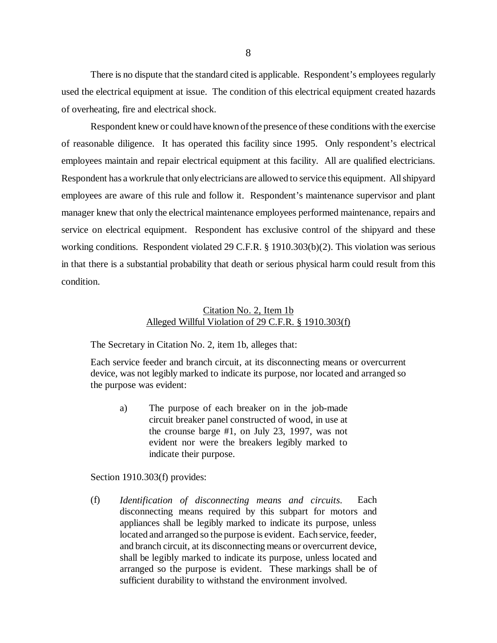There is no dispute that the standard cited is applicable. Respondent's employees regularly used the electrical equipment at issue. The condition of this electrical equipment created hazards of overheating, fire and electrical shock.

Respondent knew or could have known of the presence of these conditions with the exercise of reasonable diligence. It has operated this facility since 1995. Only respondent's electrical employees maintain and repair electrical equipment at this facility. All are qualified electricians. Respondent has a workrule that only electricians are allowed to service this equipment. All shipyard employees are aware of this rule and follow it. Respondent's maintenance supervisor and plant manager knew that only the electrical maintenance employees performed maintenance, repairs and service on electrical equipment. Respondent has exclusive control of the shipyard and these working conditions. Respondent violated 29 C.F.R. § 1910.303(b)(2). This violation was serious in that there is a substantial probability that death or serious physical harm could result from this condition.

### Citation No. 2, Item 1b Alleged Willful Violation of 29 C.F.R. § 1910.303(f)

The Secretary in Citation No. 2, item 1b, alleges that:

Each service feeder and branch circuit, at its disconnecting means or overcurrent device, was not legibly marked to indicate its purpose, nor located and arranged so the purpose was evident:

a) The purpose of each breaker on in the job-made circuit breaker panel constructed of wood, in use at the crounse barge #1, on July 23, 1997, was not evident nor were the breakers legibly marked to indicate their purpose.

Section 1910.303(f) provides:

(f) *Identification of disconnecting means and circuits.* Each disconnecting means required by this subpart for motors and appliances shall be legibly marked to indicate its purpose, unless located and arranged so the purpose is evident. Each service, feeder, and branch circuit, at its disconnecting means or overcurrent device, shall be legibly marked to indicate its purpose, unless located and arranged so the purpose is evident. These markings shall be of sufficient durability to withstand the environment involved.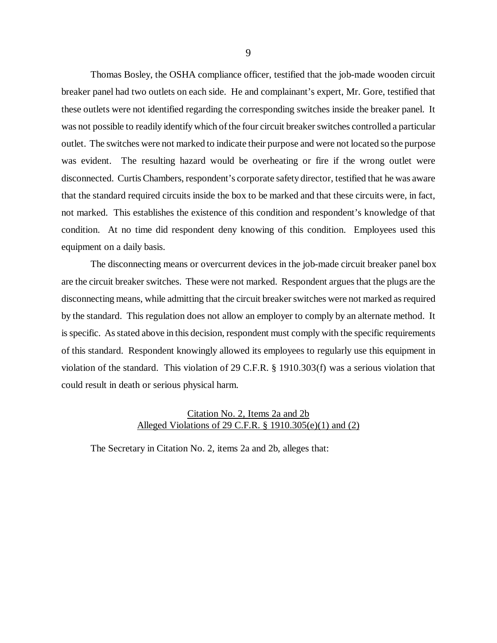Thomas Bosley, the OSHA compliance officer, testified that the job-made wooden circuit breaker panel had two outlets on each side. He and complainant's expert, Mr. Gore, testified that these outlets were not identified regarding the corresponding switches inside the breaker panel. It was not possible to readily identify which of the four circuit breaker switches controlled a particular outlet. The switches were not marked to indicate their purpose and were not located so the purpose was evident. The resulting hazard would be overheating or fire if the wrong outlet were disconnected. Curtis Chambers, respondent's corporate safety director, testified that he was aware that the standard required circuits inside the box to be marked and that these circuits were, in fact, not marked. This establishes the existence of this condition and respondent's knowledge of that condition. At no time did respondent deny knowing of this condition. Employees used this equipment on a daily basis.

The disconnecting means or overcurrent devices in the job-made circuit breaker panel box are the circuit breaker switches. These were not marked. Respondent argues that the plugs are the disconnecting means, while admitting that the circuit breaker switches were not marked as required by the standard. This regulation does not allow an employer to comply by an alternate method. It is specific. As stated above in this decision, respondent must comply with the specific requirements of this standard. Respondent knowingly allowed its employees to regularly use this equipment in violation of the standard. This violation of 29 C.F.R. § 1910.303(f) was a serious violation that could result in death or serious physical harm.

## Citation No. 2, Items 2a and 2b Alleged Violations of 29 C.F.R. § 1910.305(e)(1) and (2)

The Secretary in Citation No. 2, items 2a and 2b, alleges that: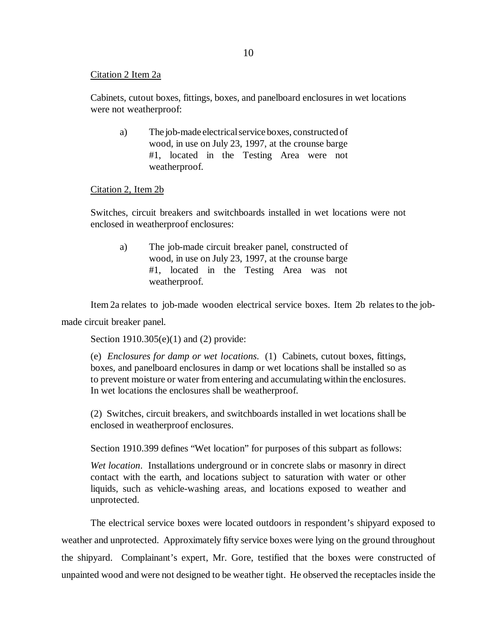### Citation 2 Item 2a

Cabinets, cutout boxes, fittings, boxes, and panelboard enclosures in wet locations were not weatherproof:

a) The job-made electrical service boxes, constructed of wood, in use on July 23, 1997, at the crounse barge #1, located in the Testing Area were not weatherproof.

#### Citation 2, Item 2b

Switches, circuit breakers and switchboards installed in wet locations were not enclosed in weatherproof enclosures:

a) The job-made circuit breaker panel, constructed of wood, in use on July 23, 1997, at the crounse barge #1, located in the Testing Area was not weatherproof.

Item 2a relates to job-made wooden electrical service boxes. Item 2b relates to the job-

made circuit breaker panel.

Section 1910.305(e)(1) and (2) provide:

(e) *Enclosures for damp or wet locations*. (1) Cabinets, cutout boxes, fittings, boxes, and panelboard enclosures in damp or wet locations shall be installed so as to prevent moisture or water from entering and accumulating within the enclosures. In wet locations the enclosures shall be weatherproof.

(2) Switches, circuit breakers, and switchboards installed in wet locations shall be enclosed in weatherproof enclosures.

Section 1910.399 defines "Wet location" for purposes of this subpart as follows:

*Wet location*. Installations underground or in concrete slabs or masonry in direct contact with the earth, and locations subject to saturation with water or other liquids, such as vehicle-washing areas, and locations exposed to weather and unprotected.

The electrical service boxes were located outdoors in respondent's shipyard exposed to weather and unprotected. Approximately fifty service boxes were lying on the ground throughout the shipyard. Complainant's expert, Mr. Gore, testified that the boxes were constructed of unpainted wood and were not designed to be weather tight. He observed the receptacles inside the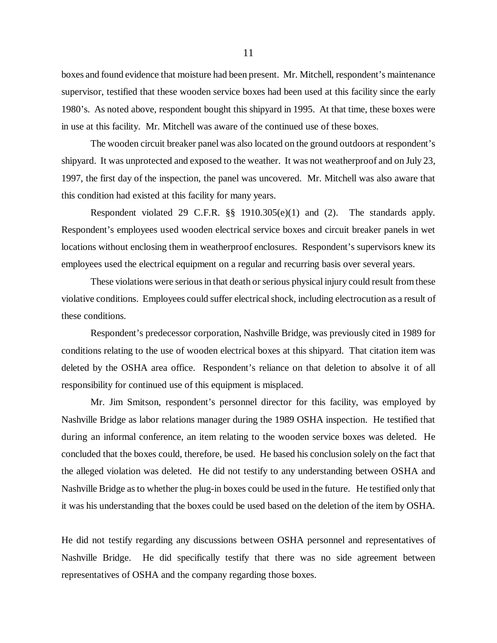boxes and found evidence that moisture had been present. Mr. Mitchell, respondent's maintenance supervisor, testified that these wooden service boxes had been used at this facility since the early 1980's. As noted above, respondent bought this shipyard in 1995. At that time, these boxes were in use at this facility. Mr. Mitchell was aware of the continued use of these boxes.

The wooden circuit breaker panel was also located on the ground outdoors at respondent's shipyard. It was unprotected and exposed to the weather. It was not weatherproof and on July 23, 1997, the first day of the inspection, the panel was uncovered. Mr. Mitchell was also aware that this condition had existed at this facility for many years.

Respondent violated 29 C.F.R. §§ 1910.305(e)(1) and (2). The standards apply. Respondent's employees used wooden electrical service boxes and circuit breaker panels in wet locations without enclosing them in weatherproof enclosures. Respondent's supervisors knew its employees used the electrical equipment on a regular and recurring basis over several years.

These violations were serious in that death or serious physical injury could result from these violative conditions. Employees could suffer electrical shock, including electrocution as a result of these conditions.

Respondent's predecessor corporation, Nashville Bridge, was previously cited in 1989 for conditions relating to the use of wooden electrical boxes at this shipyard. That citation item was deleted by the OSHA area office. Respondent's reliance on that deletion to absolve it of all responsibility for continued use of this equipment is misplaced.

Mr. Jim Smitson, respondent's personnel director for this facility, was employed by Nashville Bridge as labor relations manager during the 1989 OSHA inspection. He testified that during an informal conference, an item relating to the wooden service boxes was deleted. He concluded that the boxes could, therefore, be used. He based his conclusion solely on the fact that the alleged violation was deleted. He did not testify to any understanding between OSHA and Nashville Bridge as to whether the plug-in boxes could be used in the future. He testified only that it was his understanding that the boxes could be used based on the deletion of the item by OSHA.

He did not testify regarding any discussions between OSHA personnel and representatives of Nashville Bridge. He did specifically testify that there was no side agreement between representatives of OSHA and the company regarding those boxes.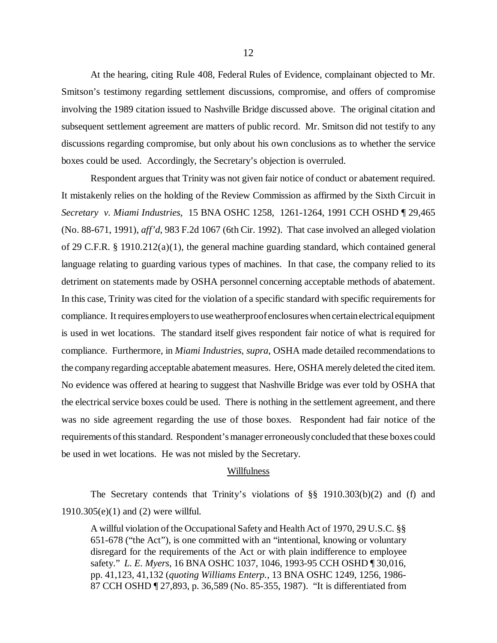At the hearing, citing Rule 408, Federal Rules of Evidence, complainant objected to Mr. Smitson's testimony regarding settlement discussions, compromise, and offers of compromise involving the 1989 citation issued to Nashville Bridge discussed above. The original citation and subsequent settlement agreement are matters of public record. Mr. Smitson did not testify to any discussions regarding compromise, but only about his own conclusions as to whether the service boxes could be used. Accordingly, the Secretary's objection is overruled.

Respondent argues that Trinity was not given fair notice of conduct or abatement required. It mistakenly relies on the holding of the Review Commission as affirmed by the Sixth Circuit in *Secretary v. Miami Industries*, 15 BNA OSHC 1258, 1261-1264, 1991 CCH OSHD ¶ 29,465 (No. 88-671, 1991), *aff'd*, 983 F.2d 1067 (6th Cir. 1992). That case involved an alleged violation of 29 C.F.R. § 1910.212(a)(1), the general machine guarding standard, which contained general language relating to guarding various types of machines. In that case, the company relied to its detriment on statements made by OSHA personnel concerning acceptable methods of abatement. In this case, Trinity was cited for the violation of a specific standard with specific requirements for compliance. It requires employers to use weatherproof enclosures when certain electrical equipment is used in wet locations. The standard itself gives respondent fair notice of what is required for compliance. Furthermore, in *Miami Industries, supra*, OSHA made detailed recommendations to the company regarding acceptable abatement measures. Here, OSHA merely deleted the cited item. No evidence was offered at hearing to suggest that Nashville Bridge was ever told by OSHA that the electrical service boxes could be used. There is nothing in the settlement agreement, and there was no side agreement regarding the use of those boxes. Respondent had fair notice of the requirements of this standard. Respondent's manager erroneously concluded that these boxes could be used in wet locations. He was not misled by the Secretary.

#### Willfulness

The Secretary contends that Trinity's violations of §§ 1910.303(b)(2) and (f) and 1910.305(e)(1) and (2) were willful.

A willful violation of the Occupational Safety and Health Act of 1970, 29 U.S.C. §§ 651-678 ("the Act"), is one committed with an "intentional, knowing or voluntary disregard for the requirements of the Act or with plain indifference to employee safety." *L. E. Myers*, 16 BNA OSHC 1037, 1046, 1993-95 CCH OSHD ¶ 30,016, pp. 41,123, 41,132 (*quoting Williams Enterp.*, 13 BNA OSHC 1249, 1256, 1986- 87 CCH OSHD ¶ 27,893, p. 36,589 (No. 85-355, 1987). "It is differentiated from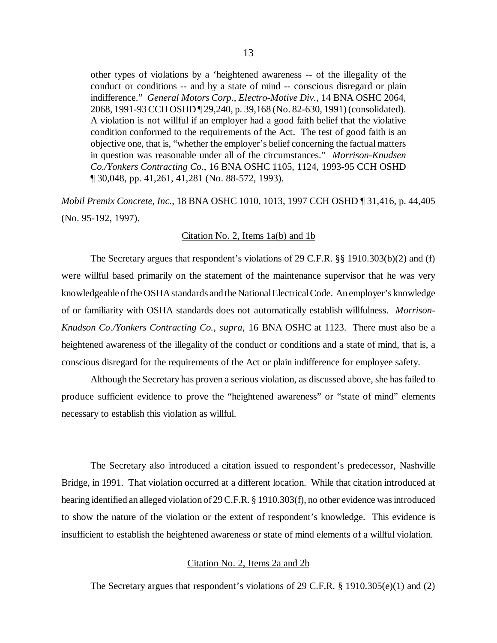other types of violations by a 'heightened awareness -- of the illegality of the conduct or conditions -- and by a state of mind -- conscious disregard or plain indifference." *General Motors Corp.*, *Electro-Motive Div.*, 14 BNA OSHC 2064, 2068, 1991-93 CCH OSHD ¶ 29,240, p. 39,168 (No. 82-630, 1991) (consolidated). A violation is not willful if an employer had a good faith belief that the violative condition conformed to the requirements of the Act. The test of good faith is an objective one, that is, "whether the employer's belief concerning the factual matters

in question was reasonable under all of the circumstances." *Morrison-Knudsen Co./Yonkers Contracting Co.*, 16 BNA OSHC 1105, 1124, 1993-95 CCH OSHD ¶ 30,048, pp. 41,261, 41,281 (No. 88-572, 1993).

*Mobil Premix Concrete, Inc.*, 18 BNA OSHC 1010, 1013, 1997 CCH OSHD ¶ 31,416, p. 44,405 (No. 95-192, 1997).

#### Citation No. 2, Items 1a(b) and 1b

The Secretary argues that respondent's violations of 29 C.F.R. §§ 1910.303(b)(2) and (f) were willful based primarily on the statement of the maintenance supervisor that he was very knowledgeable of the OSHA standards and the National Electrical Code. An employer's knowledge of or familiarity with OSHA standards does not automatically establish willfulness. *Morrison-Knudson Co./Yonkers Contracting Co., supra*, 16 BNA OSHC at 1123. There must also be a heightened awareness of the illegality of the conduct or conditions and a state of mind, that is, a conscious disregard for the requirements of the Act or plain indifference for employee safety.

Although the Secretary has proven a serious violation, as discussed above, she has failed to produce sufficient evidence to prove the "heightened awareness" or "state of mind" elements necessary to establish this violation as willful.

The Secretary also introduced a citation issued to respondent's predecessor, Nashville Bridge, in 1991. That violation occurred at a different location. While that citation introduced at hearing identified an alleged violation of 29 C.F.R. § 1910.303(f), no other evidence was introduced to show the nature of the violation or the extent of respondent's knowledge. This evidence is insufficient to establish the heightened awareness or state of mind elements of a willful violation.

### Citation No. 2, Items 2a and 2b

The Secretary argues that respondent's violations of 29 C.F.R. § 1910.305(e)(1) and (2)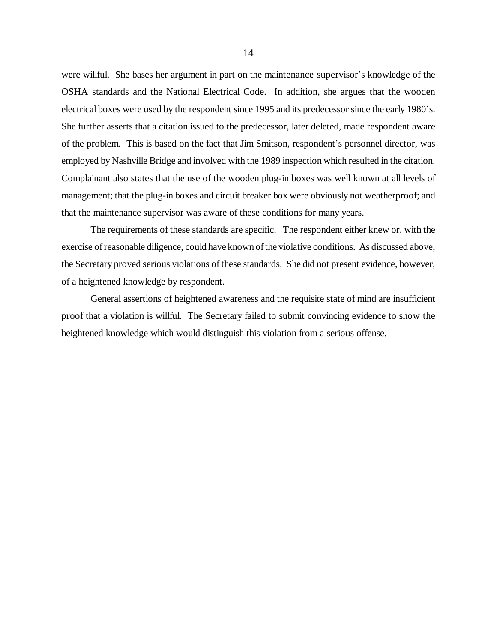were willful. She bases her argument in part on the maintenance supervisor's knowledge of the OSHA standards and the National Electrical Code. In addition, she argues that the wooden electrical boxes were used by the respondent since 1995 and its predecessor since the early 1980's. She further asserts that a citation issued to the predecessor, later deleted, made respondent aware of the problem. This is based on the fact that Jim Smitson, respondent's personnel director, was employed by Nashville Bridge and involved with the 1989 inspection which resulted in the citation. Complainant also states that the use of the wooden plug-in boxes was well known at all levels of management; that the plug-in boxes and circuit breaker box were obviously not weatherproof; and that the maintenance supervisor was aware of these conditions for many years.

The requirements of these standards are specific. The respondent either knew or, with the exercise of reasonable diligence, could have known of the violative conditions. As discussed above, the Secretary proved serious violations of these standards. She did not present evidence, however, of a heightened knowledge by respondent.

General assertions of heightened awareness and the requisite state of mind are insufficient proof that a violation is willful. The Secretary failed to submit convincing evidence to show the heightened knowledge which would distinguish this violation from a serious offense.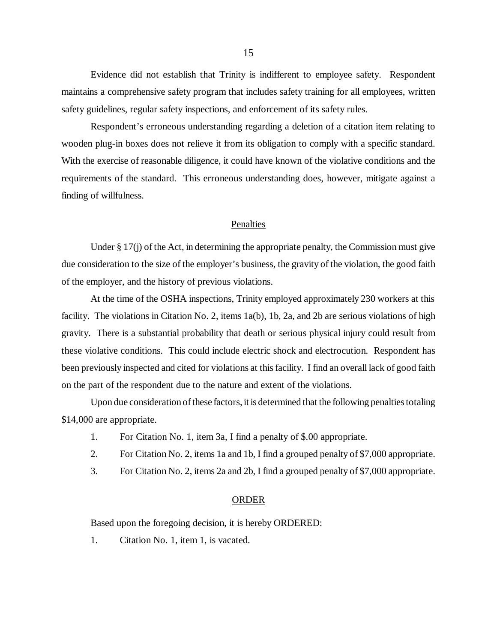Evidence did not establish that Trinity is indifferent to employee safety. Respondent maintains a comprehensive safety program that includes safety training for all employees, written safety guidelines, regular safety inspections, and enforcement of its safety rules.

Respondent's erroneous understanding regarding a deletion of a citation item relating to wooden plug-in boxes does not relieve it from its obligation to comply with a specific standard. With the exercise of reasonable diligence, it could have known of the violative conditions and the requirements of the standard. This erroneous understanding does, however, mitigate against a finding of willfulness.

### Penalties

Under § 17(j) of the Act, in determining the appropriate penalty, the Commission must give due consideration to the size of the employer's business, the gravity of the violation, the good faith of the employer, and the history of previous violations.

At the time of the OSHA inspections, Trinity employed approximately 230 workers at this facility. The violations in Citation No. 2, items 1a(b), 1b, 2a, and 2b are serious violations of high gravity. There is a substantial probability that death or serious physical injury could result from these violative conditions. This could include electric shock and electrocution. Respondent has been previously inspected and cited for violations at this facility. I find an overall lack of good faith on the part of the respondent due to the nature and extent of the violations.

Upon due consideration of these factors, it is determined that the following penalties totaling \$14,000 are appropriate.

- 1. For Citation No. 1, item 3a, I find a penalty of \$.00 appropriate.
- 2. For Citation No. 2, items 1a and 1b, I find a grouped penalty of \$7,000 appropriate.
- 3. For Citation No. 2, items 2a and 2b, I find a grouped penalty of \$7,000 appropriate.

### ORDER

Based upon the foregoing decision, it is hereby ORDERED:

1. Citation No. 1, item 1, is vacated.